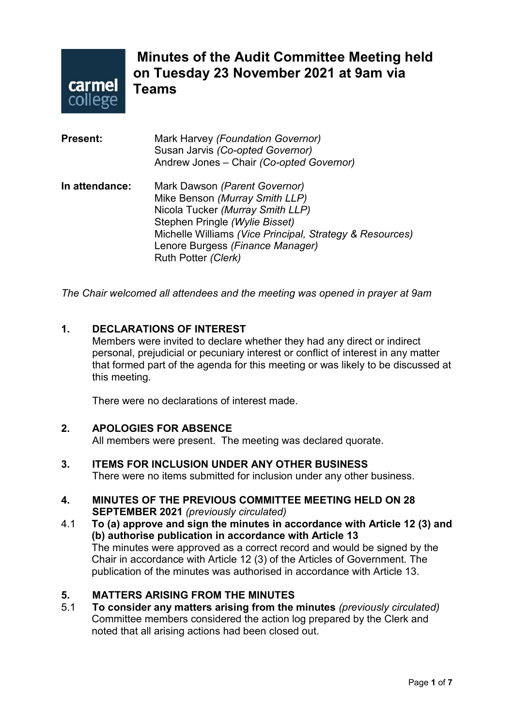

**Minutes of the Audit Committee Meeting held on Tuesday 23 November 2021 at 9am via Teams** 

| <b>Present:</b> | Mark Harvey (Foundation Governor)<br>Susan Jarvis (Co-opted Governor)<br>Andrew Jones - Chair (Co-opted Governor)                                                                                                                                            |
|-----------------|--------------------------------------------------------------------------------------------------------------------------------------------------------------------------------------------------------------------------------------------------------------|
| In attendance:  | Mark Dawson (Parent Governor)<br>Mike Benson (Murray Smith LLP)<br>Nicola Tucker (Murray Smith LLP)<br>Stephen Pringle (Wylie Bisset)<br>Michelle Williams (Vice Principal, Strategy & Resources)<br>Lenore Burgess (Finance Manager)<br>Ruth Potter (Clerk) |

*The Chair welcomed all attendees and the meeting was opened in prayer at 9am*

## **1. DECLARATIONS OF INTEREST**

Members were invited to declare whether they had any direct or indirect personal, prejudicial or pecuniary interest or conflict of interest in any matter that formed part of the agenda for this meeting or was likely to be discussed at this meeting.

There were no declarations of interest made.

## **2. APOLOGIES FOR ABSENCE**

All members were present. The meeting was declared quorate.

- **3. ITEMS FOR INCLUSION UNDER ANY OTHER BUSINESS** There were no items submitted for inclusion under any other business.
- **4. MINUTES OF THE PREVIOUS COMMITTEE MEETING HELD ON 28 SEPTEMBER 2021** *(previously circulated)*
- 4.1 **To (a) approve and sign the minutes in accordance with Article 12 (3) and (b) authorise publication in accordance with Article 13** The minutes were approved as a correct record and would be signed by the Chair in accordance with Article 12 (3) of the Articles of Government. The publication of the minutes was authorised in accordance with Article 13.

# **5. MATTERS ARISING FROM THE MINUTES**

5.1 **To consider any matters arising from the minutes** *(previously circulated)* Committee members considered the action log prepared by the Clerk and noted that all arising actions had been closed out.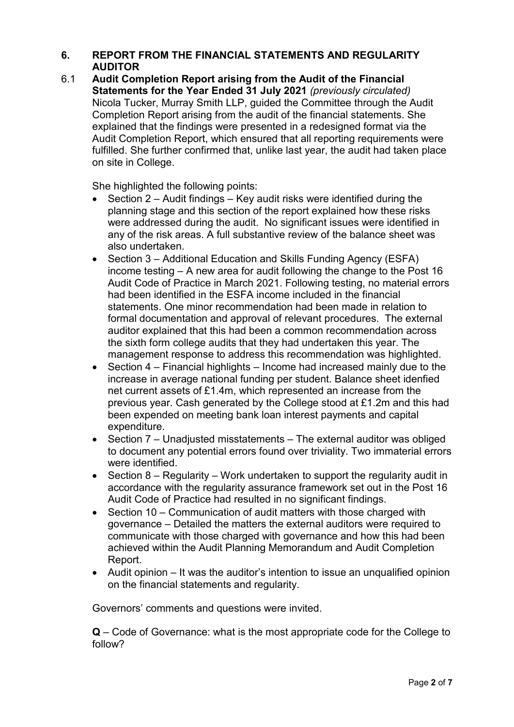## **6. REPORT FROM THE FINANCIAL STATEMENTS AND REGULARITY AUDITOR**

6.1 **Audit Completion Report arising from the Audit of the Financial Statements for the Year Ended 31 July 2021** *(previously circulated)* Nicola Tucker, Murray Smith LLP, guided the Committee through the Audit Completion Report arising from the audit of the financial statements. She explained that the findings were presented in a redesigned format via the Audit Completion Report, which ensured that all reporting requirements were fulfilled. She further confirmed that, unlike last year, the audit had taken place on site in College.

She highlighted the following points:

- Section  $2 -$  Audit findings  $-$  Key audit risks were identified during the planning stage and this section of the report explained how these risks were addressed during the audit. No significant issues were identified in any of the risk areas. A full substantive review of the balance sheet was also undertaken.
- Section 3 Additional Education and Skills Funding Agency (ESFA) income testing – A new area for audit following the change to the Post 16 Audit Code of Practice in March 2021. Following testing, no material errors had been identified in the ESFA income included in the financial statements. One minor recommendation had been made in relation to formal documentation and approval of relevant procedures. The external auditor explained that this had been a common recommendation across the sixth form college audits that they had undertaken this year. The management response to address this recommendation was highlighted.
- Section 4 Financial highlights Income had increased mainly due to the increase in average national funding per student. Balance sheet idenfied net current assets of £1.4m, which represented an increase from the previous year. Cash generated by the College stood at £1.2m and this had been expended on meeting bank loan interest payments and capital expenditure.
- Section 7 Unadjusted misstatements The external auditor was obliged to document any potential errors found over triviality. Two immaterial errors were identified.
- Section  $8 -$  Regularity Work undertaken to support the regularity audit in accordance with the regularity assurance framework set out in the Post 16 Audit Code of Practice had resulted in no significant findings.
- Section 10 Communication of audit matters with those charged with governance – Detailed the matters the external auditors were required to communicate with those charged with governance and how this had been achieved within the Audit Planning Memorandum and Audit Completion Report.
- Audit opinion It was the auditor's intention to issue an unqualified opinion on the financial statements and regularity.

Governors' comments and questions were invited.

**Q** – Code of Governance: what is the most appropriate code for the College to follow?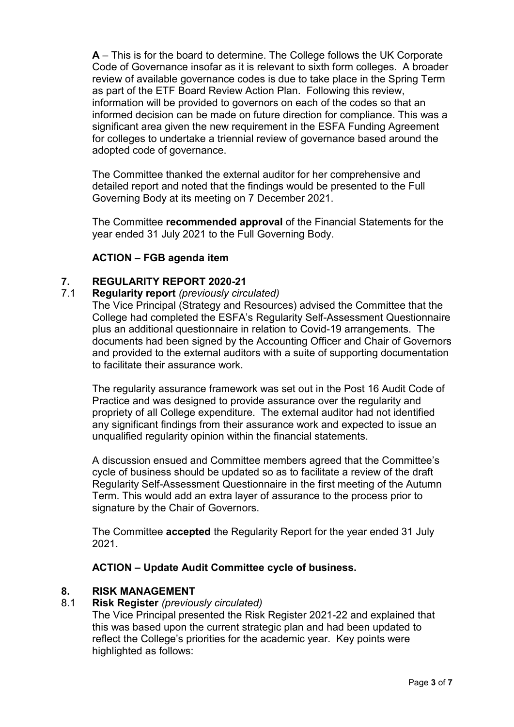**A** – This is for the board to determine. The College follows the UK Corporate Code of Governance insofar as it is relevant to sixth form colleges. A broader review of available governance codes is due to take place in the Spring Term as part of the ETF Board Review Action Plan. Following this review, information will be provided to governors on each of the codes so that an informed decision can be made on future direction for compliance. This was a significant area given the new requirement in the ESFA Funding Agreement for colleges to undertake a triennial review of governance based around the adopted code of governance.

The Committee thanked the external auditor for her comprehensive and detailed report and noted that the findings would be presented to the Full Governing Body at its meeting on 7 December 2021.

The Committee **recommended approval** of the Financial Statements for the year ended 31 July 2021 to the Full Governing Body.

## **ACTION – FGB agenda item**

# **7. REGULARITY REPORT 2020-21**

### 7.1 **Regularity report** *(previously circulated)*

The Vice Principal (Strategy and Resources) advised the Committee that the College had completed the ESFA's Regularity Self-Assessment Questionnaire plus an additional questionnaire in relation to Covid-19 arrangements. The documents had been signed by the Accounting Officer and Chair of Governors and provided to the external auditors with a suite of supporting documentation to facilitate their assurance work.

The regularity assurance framework was set out in the Post 16 Audit Code of Practice and was designed to provide assurance over the regularity and propriety of all College expenditure. The external auditor had not identified any significant findings from their assurance work and expected to issue an unqualified regularity opinion within the financial statements.

A discussion ensued and Committee members agreed that the Committee's cycle of business should be updated so as to facilitate a review of the draft Regularity Self-Assessment Questionnaire in the first meeting of the Autumn Term. This would add an extra layer of assurance to the process prior to signature by the Chair of Governors.

The Committee **accepted** the Regularity Report for the year ended 31 July 2021.

## **ACTION – Update Audit Committee cycle of business.**

# **8. RISK MANAGEMENT**

## 8.1 **Risk Register** *(previously circulated)*

The Vice Principal presented the Risk Register 2021-22 and explained that this was based upon the current strategic plan and had been updated to reflect the College's priorities for the academic year. Key points were highlighted as follows: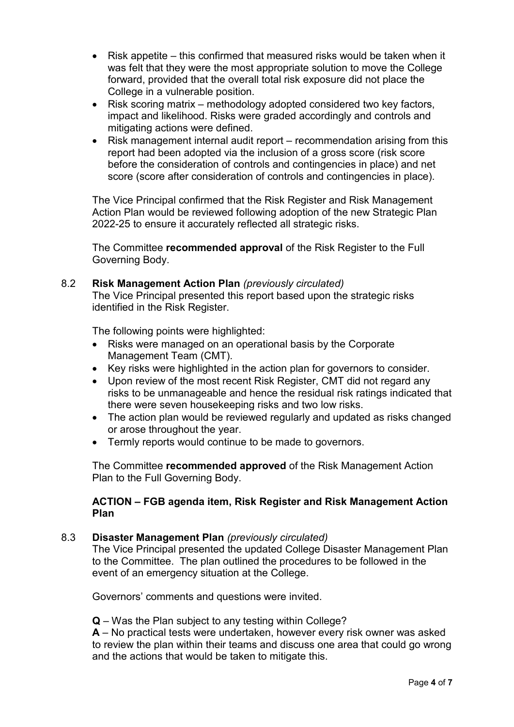- Risk appetite this confirmed that measured risks would be taken when it was felt that they were the most appropriate solution to move the College forward, provided that the overall total risk exposure did not place the College in a vulnerable position.
- Risk scoring matrix methodology adopted considered two key factors, impact and likelihood. Risks were graded accordingly and controls and mitigating actions were defined.
- Risk management internal audit report recommendation arising from this report had been adopted via the inclusion of a gross score (risk score before the consideration of controls and contingencies in place) and net score (score after consideration of controls and contingencies in place).

The Vice Principal confirmed that the Risk Register and Risk Management Action Plan would be reviewed following adoption of the new Strategic Plan 2022-25 to ensure it accurately reflected all strategic risks.

The Committee **recommended approval** of the Risk Register to the Full Governing Body.

### 8.2 **Risk Management Action Plan** *(previously circulated)*

The Vice Principal presented this report based upon the strategic risks identified in the Risk Register.

The following points were highlighted:

- Risks were managed on an operational basis by the Corporate Management Team (CMT).
- Key risks were highlighted in the action plan for governors to consider.
- Upon review of the most recent Risk Register, CMT did not regard any risks to be unmanageable and hence the residual risk ratings indicated that there were seven housekeeping risks and two low risks.
- The action plan would be reviewed regularly and updated as risks changed or arose throughout the year.
- Termly reports would continue to be made to governors.

The Committee **recommended approved** of the Risk Management Action Plan to the Full Governing Body.

## **ACTION – FGB agenda item, Risk Register and Risk Management Action Plan**

## 8.3 **Disaster Management Plan** *(previously circulated)*

The Vice Principal presented the updated College Disaster Management Plan to the Committee. The plan outlined the procedures to be followed in the event of an emergency situation at the College.

Governors' comments and questions were invited.

**Q** – Was the Plan subject to any testing within College?

**A** – No practical tests were undertaken, however every risk owner was asked to review the plan within their teams and discuss one area that could go wrong and the actions that would be taken to mitigate this.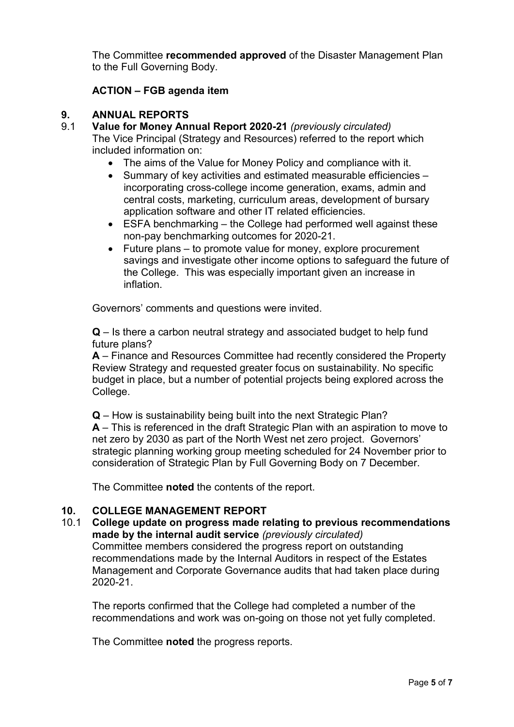The Committee **recommended approved** of the Disaster Management Plan to the Full Governing Body.

## **ACTION – FGB agenda item**

# **9. ANNUAL REPORTS**

- 9.1 **Value for Money Annual Report 2020-21** *(previously circulated)* The Vice Principal (Strategy and Resources) referred to the report which included information on:
	- The aims of the Value for Money Policy and compliance with it.
	- Summary of key activities and estimated measurable efficiencies incorporating cross-college income generation, exams, admin and central costs, marketing, curriculum areas, development of bursary application software and other IT related efficiencies.
	- ESFA benchmarking the College had performed well against these non-pay benchmarking outcomes for 2020-21.
	- Future plans to promote value for money, explore procurement savings and investigate other income options to safeguard the future of the College. This was especially important given an increase in inflation.

Governors' comments and questions were invited.

**Q** – Is there a carbon neutral strategy and associated budget to help fund future plans?

**A** – Finance and Resources Committee had recently considered the Property Review Strategy and requested greater focus on sustainability. No specific budget in place, but a number of potential projects being explored across the College.

**Q** – How is sustainability being built into the next Strategic Plan? **A** – This is referenced in the draft Strategic Plan with an aspiration to move to net zero by 2030 as part of the North West net zero project. Governors' strategic planning working group meeting scheduled for 24 November prior to consideration of Strategic Plan by Full Governing Body on 7 December.

The Committee **noted** the contents of the report.

## **10. COLLEGE MANAGEMENT REPORT**

10.1 **College update on progress made relating to previous recommendations made by the internal audit service** *(previously circulated)*

Committee members considered the progress report on outstanding recommendations made by the Internal Auditors in respect of the Estates Management and Corporate Governance audits that had taken place during 2020-21.

The reports confirmed that the College had completed a number of the recommendations and work was on-going on those not yet fully completed.

The Committee **noted** the progress reports.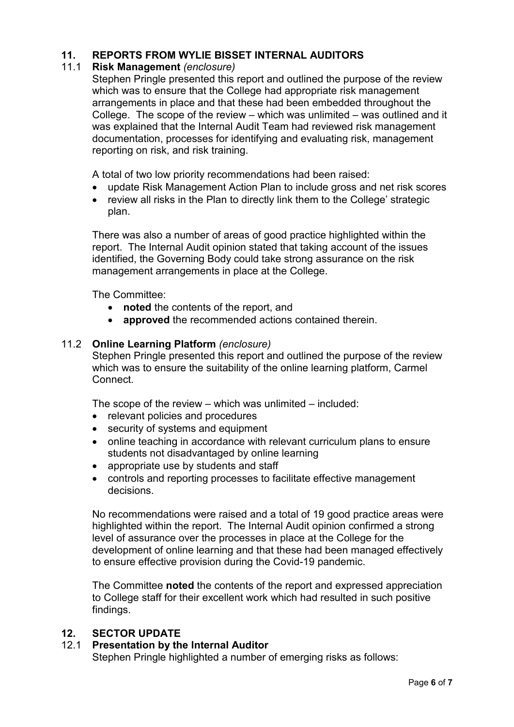# **11. REPORTS FROM WYLIE BISSET INTERNAL AUDITORS**

# 11.1 **Risk Management** *(enclosure)*

Stephen Pringle presented this report and outlined the purpose of the review which was to ensure that the College had appropriate risk management arrangements in place and that these had been embedded throughout the College. The scope of the review – which was unlimited – was outlined and it was explained that the Internal Audit Team had reviewed risk management documentation, processes for identifying and evaluating risk, management reporting on risk, and risk training.

A total of two low priority recommendations had been raised:

- update Risk Management Action Plan to include gross and net risk scores
- review all risks in the Plan to directly link them to the College' strategic plan.

There was also a number of areas of good practice highlighted within the report. The Internal Audit opinion stated that taking account of the issues identified, the Governing Body could take strong assurance on the risk management arrangements in place at the College.

The Committee:

- **noted** the contents of the report, and
- **approved** the recommended actions contained therein.

## 11.2 **Online Learning Platform** *(enclosure)*

Stephen Pringle presented this report and outlined the purpose of the review which was to ensure the suitability of the online learning platform, Carmel Connect.

The scope of the review – which was unlimited – included:

- relevant policies and procedures
- security of systems and equipment
- online teaching in accordance with relevant curriculum plans to ensure students not disadvantaged by online learning
- appropriate use by students and staff
- controls and reporting processes to facilitate effective management decisions.

No recommendations were raised and a total of 19 good practice areas were highlighted within the report. The Internal Audit opinion confirmed a strong level of assurance over the processes in place at the College for the development of online learning and that these had been managed effectively to ensure effective provision during the Covid-19 pandemic.

The Committee **noted** the contents of the report and expressed appreciation to College staff for their excellent work which had resulted in such positive findings.

## **12. SECTOR UPDATE**

## 12.1 **Presentation by the Internal Auditor**

Stephen Pringle highlighted a number of emerging risks as follows: